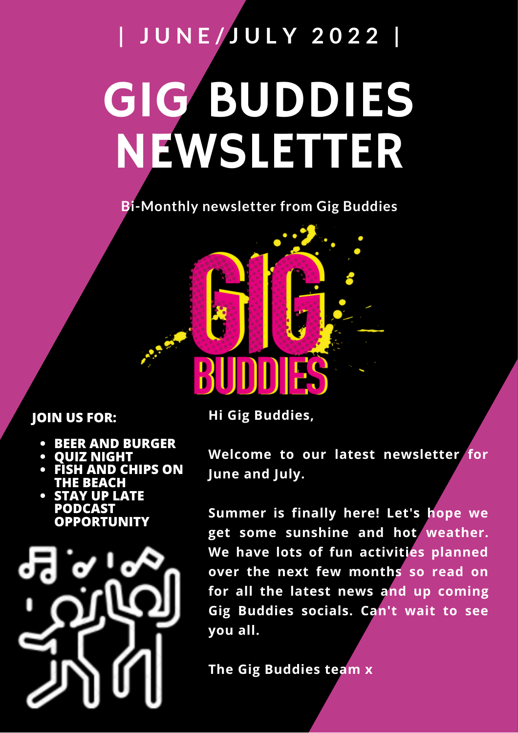# GIG BUDDIES NEWSLETTER **| J U N E / J U L Y 2 0 2 2 |**

**Bi-Monthly newsletter from Gig Buddies**

### **JOIN US FOR:**

- **BEER AND BURGER**
- **QUIZ NIGHT**
- **FIAND CHIPS ON THE BEACH**
- **STAY UP LATE PODCAST OPPORTUNITY**



**Hi Gig Buddies,**

**Welcome to our latest newsletter for June and July.**

**Summer is finally here! Let's hope we get some sunshine and hot weather. We have lots of fun activities planned over the next few months so read on for all the latest news and up coming Gig Buddies socials. Can't wait to see you all.**

**The Gig Buddies team x**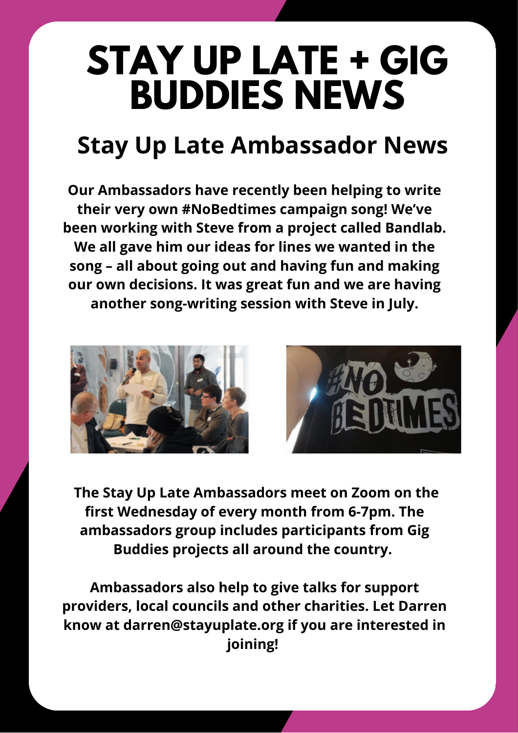# **STAY UP LATE + GIG BUDDIES NEWS**

## **Stay Up Late Ambassador News**

**Our Ambassadors have recently been helping to write their very own #NoBedtimes campaign song! We've been working with Steve from a project called Bandlab. We all gave him our ideas for lines we wanted in the song – all about going out and having fun and making our own decisions. It was great fun and we are having another song-writing session with Steve in July.**





**The Stay Up Late Ambassadors meet on Zoom on the first Wednesday of every month from 6-7pm. The ambassadors group includes participants from Gig Buddies projects all around the country.**

**Ambassadors also help to give talks for support providers, local councils and other charities. Let Darren know at darren@stayuplate.org if you are interested in joining!**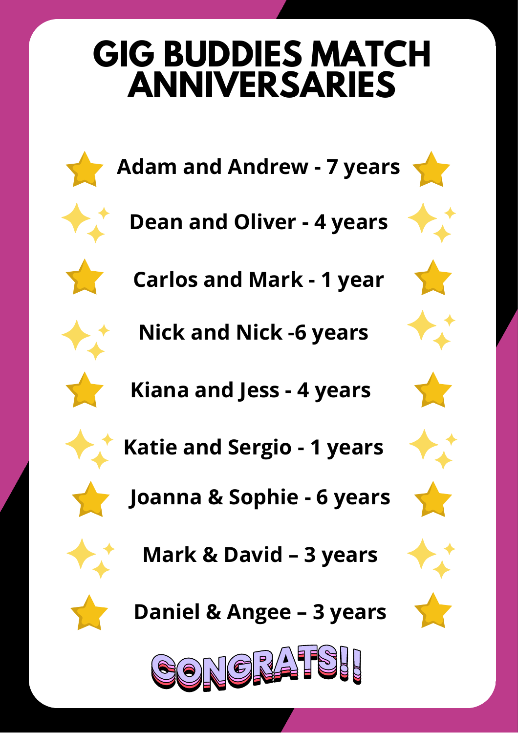## **GIG BUDDIES MATCH ANNIVERSARIES**



- **Adam and Andrew - 7 years**
- **Dean and Oliver - 4 years**
	- **Carlos and Mark - 1 year**
		- **Nick and Nick -6 years**
	- **Kiana and Jess 4 years**
	- **Katie and Sergio 1 years**
	- **Joanna & Sophie 6 years**
		- **Mark & David 3 years**



**Daniel & Angee – 3 years**

















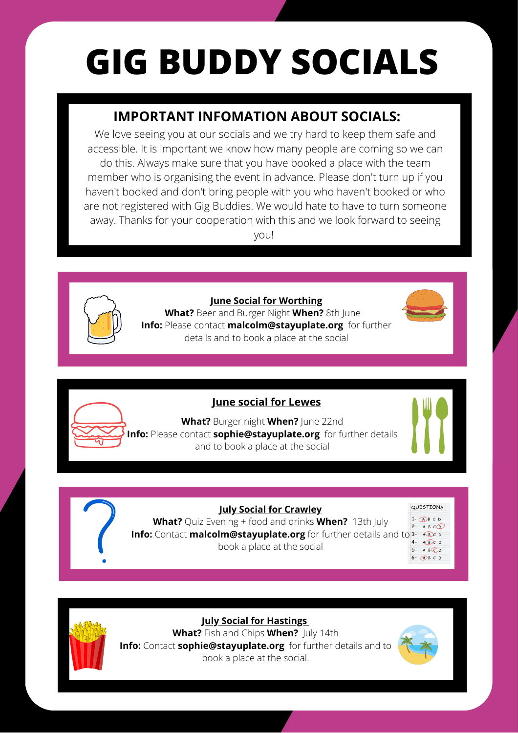# **GIG BUDDY SOCIALS**

## **IMPORTANT INFOMATION ABOUT SOCIALS:**

We love seeing you at our socials and we try hard to keep them safe and accessible. It is important we know how many people are coming so we can do this. Always make sure that you have booked a place with the team member who is organising the event in advance. Please don't turn up if you haven't booked and don't bring people with you who haven't booked or who are not registered with Gig Buddies. We would hate to have to turn someone away. Thanks for your cooperation with this and we look forward to seeing you!



**June Social for Worthing**

**What?** Beer and Burger Night **When?** 8th June **Info:** Please contact **malcolm@stayuplate.org** for further details and to book a place at the social





**What?** Burger night **When?** June 22nd **Info:** Please contact **sophie@stayuplate.org** for further details and to book a place at the social







**July Social for Crawley**

**What?** Quiz Evening + food and drinks **When?** 13th July **Info:** Contact malcolm@stayuplate.org for further details and book a place at the social

| TΩ | QUESTIONS                                     |
|----|-----------------------------------------------|
|    | $1 - (A)B C D$<br>2- $ABCO$                   |
|    | $A$ $B$ $C$ D<br>$3 -$                        |
|    | $4-$<br>$A$ $B$ $C$ $D$<br>$A$ $B$ $CD$<br>5- |
|    | $\bigcap B C D$<br>$6 -$                      |



**July Social for Hastings What?** Fish and Chips **When?** July 14th **Info:** Contact **sophie@stayuplate.org** for further details and to book a place at the social.

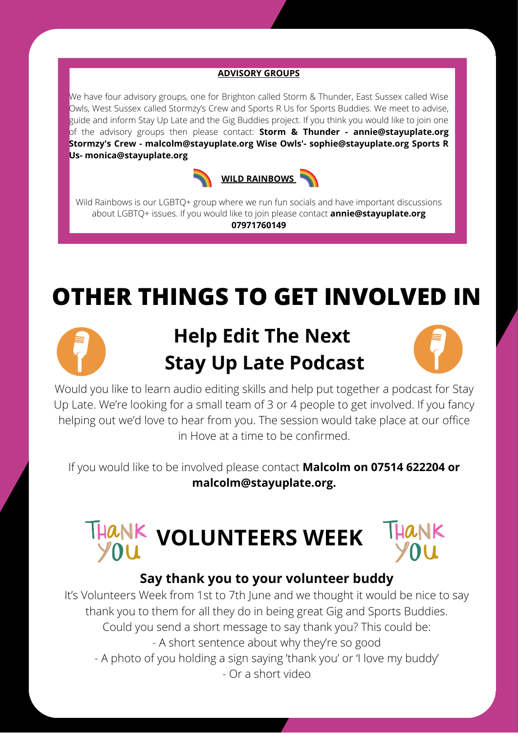#### **ADVISORY GROUPS**

We have four advisory groups, one for Brighton called Storm & Thunder, East Sussex called Wise Owls, West Sussex called Stormzy's Crew and Sports R Us for Sports Buddies. We meet to advise, guide and inform Stay Up Late and the Gig Buddies project. If you think you would like to join one of the advisory groups then please contact: **Storm & Thunder - annie@stayuplate.org Stormzy's Crew - malcolm@stayuplate.org Wise Owls'- sophie@stayuplate.org Sports R Us- monica@stayuplate.org**



Wild Rainbows is our LGBTQ+ group where we run fun socials and have important discussions about LGBTQ+ issues. If you would like to join please contact **annie@stayuplate.org 07971760149**

## **OTHER THINGS TO GET INVOLVED IN**



## **Help Edit The Next Stay Up Late Podcast**



Would you like to learn audio editing skills and help put together a podcast for Stay Up Late. We're looking for a small team of 3 or 4 people to get involved. If you fancy helping out we'd love to hear from you. The session would take place at our office in Hove at a time to be confirmed.

If you would like to be involved please contact **Malcolm on 07514 622204 or malcolm@stayuplate.org.**

# **VOLUNTEERS WEEK**



### **Say thank you to your volunteer buddy**

It's Volunteers Week from 1st to 7th June and we thought it would be nice to say thank you to them for all they do in being great Gig and Sports Buddies. Could you send a short message to say thank you? This could be: - A short sentence about why they're so good - A photo of you holding a sign saying 'thank you' or 'I love my buddy' - Or a short video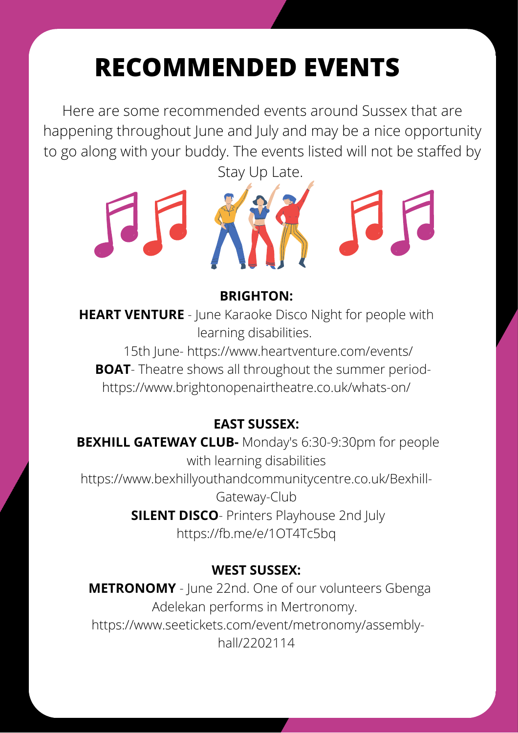## **RECOMMENDED EVENTS**

Here are some recommended events around Sussex that are happening throughout June and July and may be a nice opportunity to go along with your buddy. The events listed will not be staffed by



### **BRIGHTON:**

**HEART VENTURE** - June Karaoke Disco Night for people with learning disabilities.

 15th June- <https://www.heartventure.com/events/> **BOAT**- Theatre shows all throughout the summer period<https://www.brightonopenairtheatre.co.uk/whats-on/>

### **EAST SUSSEX:**

**BEXHILL GATEWAY CLUB-** Monday's 6:30-9:30pm for people with learning disabilities [https://www.bexhillyouthandcommunitycentre.co.uk/Bexhill-](https://www.bexhillyouthandcommunitycentre.co.uk/Bexhill-Gateway-Club)Gateway-Club **SILENT DISCO**- Printers Playhouse 2nd July https://fb.me/e/1OT4Tc5bq

### **WEST SUSSEX:**

 **METRONOMY** - June 22nd. One of our volunteers Gbenga Adelekan performs in Mertronomy. [https://www.seetickets.com/event/metronomy/assembly](https://www.seetickets.com/event/metronomy/assembly-hall/2202114)hall/2202114